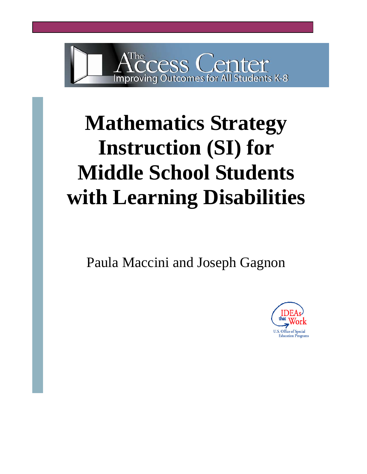

# **Mathematics Strategy Instruction (SI) for Middle School Students with Learning Disabilities**

Paula Maccini and Joseph Gagnon

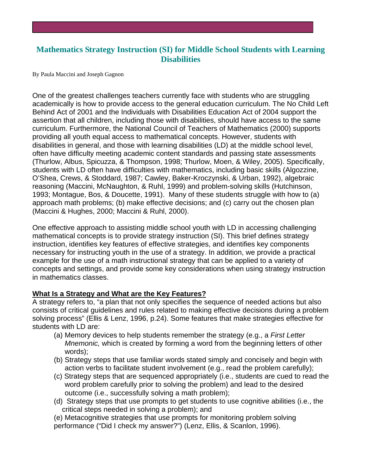# **Mathematics Strategy Instruction (SI) for Middle School Students with Learning Disabilities**

By Paula Maccini and Joseph Gagnon

One of the greatest challenges teachers currently face with students who are struggling academically is how to provide access to the general education curriculum. The No Child Left disabilities in general, and those with learning disabilities (LD) at the middle school level, (Thurlow, Albus, Spicuzza, & Thompson, 1998; Thurlow, Moen, & Wiley, 2005). Specifically, 1993; Montague, Bos, & Doucette, 1991). Many of these students struggle with how to (a) Behind Act of 2001 and the Individuals with Disabilities Education Act of 2004 support the assertion that all children, including those with disabilities, should have access to the same curriculum. Furthermore, the National Council of Teachers of Mathematics (2000) supports providing all youth equal access to mathematical concepts. However, students with often have difficulty meeting academic content standards and passing state assessments students with LD often have difficulties with mathematics, including basic skills (Algozzine, O'Shea, Crews, & Stoddard, 1987; Cawley, Baker-Kroczynski, & Urban, 1992), algebraic reasoning (Maccini, McNaughton, & Ruhl, 1999) and problem-solving skills (Hutchinson, approach math problems; (b) make effective decisions; and (c) carry out the chosen plan (Maccini & Hughes, 2000; Maccini & Ruhl, 2000).

One effective approach to assisting middle school youth with LD in accessing challenging necessary for instructing youth in the use of a strategy. In addition, we provide a practical concepts and settings, and provide some key considerations when using strategy instruction mathematical concepts is to provide strategy instruction (SI). This brief defines strategy instruction, identifies key features of effective strategies, and identifies key components example for the use of a math instructional strategy that can be applied to a variety of in mathematics classes.

### **What Is a Strategy and What are the Key Features?**

A strategy refers to, "a plan that not only specifies the sequence of needed actions but also consists of critical guidelines and rules related to making effective decisions during a problem solving process" (Ellis & Lenz, 1996, p.24). Some features that make strategies effective for students with LD are:

- (a) Memory devices to help students remember the strategy (e.g., a *First Letter Mnemonic,* which is created by forming a word from the beginning letters of other words);
- (b) Strategy steps that use familiar words stated simply and concisely and begin with action verbs to facilitate student involvement (e.g., read the problem carefully);
- (c) Strategy steps that are sequenced appropriately (i.e., students are cued to read the word problem carefully prior to solving the problem) and lead to the desired outcome (i.e., successfully solving a math problem);
- (d) Strategy steps that use prompts to get students to use cognitive abilities (i.e., the critical steps needed in solving a problem); and

(e) Metacognitive strategies that use prompts for monitoring problem solving performance ("Did I check my answer?") (Lenz, Ellis, & Scanlon, 1996).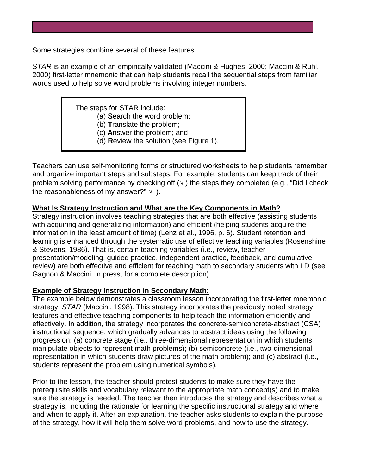Some strategies combine several of these features.

STAR is an example of an empirically validated (Maccini & Hughes, 2000; Maccini & Ruhl, 2000) first-letter mnemonic that can help students recall the sequential steps from familiar words used to help solve word problems involving integer numbers.

The steps for STAR include:

(a) **S**earch the word problem;

- (b) Translate the problem;
- (c) **A**nswer the problem; and
- (d) Review the solution (see Figure 1).

Teachers can use self-monitoring forms or structured worksheets to help students remember and organize important steps and substeps. For example, students can keep track of their problem solving performance by checking off  $(\sqrt{})$  the steps they completed (e.g., "Did I check the reasonableness of my answer?"  $\sqrt{ }$ ).

# **What Is Strategy Instruction and What are the Key Components in Math?**

Strategy instruction involves teaching strategies that are both effective (assisting students with acquiring and generalizing information) and efficient (helping students acquire the learning is enhanced through the systematic use of effective teaching variables (Rosenshine review) are both effective and efficient for teaching math to secondary students with LD (see information in the least amount of time) (Lenz et al., 1996, p. 6). Student retention and & Stevens, 1986). That is, certain teaching variables (i.e., review, teacher presentation/modeling, guided practice, independent practice, feedback, and cumulative Gagnon & Maccini, in press, for a complete description).

### **Example of Strategy Instruction in Secondary Math:**

The example below demonstrates a classroom lesson incorporating the first-letter mnemonic strategy, *STAR* (Maccini, 1998). This strategy incorporates the previously noted strategy ) effectively. In addition, the strategy incorporates the concrete-semiconcrete-abstract (CSA manipulate objects to represent math problems); (b) semiconcrete (i.e., two-dimensional representation in which students draw pictures of the math problem); and (c) abstract (i.e., features and effective teaching components to help teach the information efficiently and instructional sequence, which gradually advances to abstract ideas using the following progression: (a) concrete stage (i.e., three-dimensional representation in which students students represent the problem using numerical symbols).

Prior to the lesson, the teacher should pretest students to make sure they have the prerequisite skills and vocabulary relevant to the appropriate math concept(s) and to make sure the strategy is needed. The teacher then introduces the strategy and describes what a strategy is, including the rationale for learning the specific instructional strategy and where and when to apply it. After an explanation, the teacher asks students to explain the purpose of the strategy, how it will help them solve word problems, and how to use the strategy.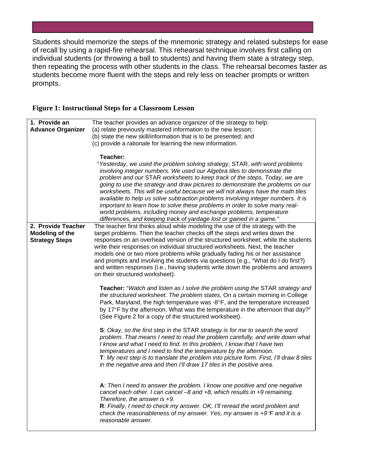Students should memorize the steps of the mnemonic strategy and related substeps for ease of recall by using a rapid-fire rehearsal. This rehearsal technique involves first calling on individual students (or throwing a ball to students) and having them state a strategy step, then repeating the process with other students in the class. The rehearsal becomes faste r as students become more fluent with the steps and rely less on teacher prompts or written prompts.

|  | <b>Figure 1: Instructional Steps for a Classroom Lesson</b> |  |
|--|-------------------------------------------------------------|--|
|  |                                                             |  |

| 1. Provide an            | The teacher provides an advance organizer of the strategy to help:                                                                                           |  |
|--------------------------|--------------------------------------------------------------------------------------------------------------------------------------------------------------|--|
| <b>Advance Organizer</b> | (a) relate previously mastered information to the new lesson;                                                                                                |  |
|                          | (b) state the new skill/information that is to be presented; and                                                                                             |  |
|                          | (c) provide a rationale for learning the new information.                                                                                                    |  |
|                          |                                                                                                                                                              |  |
|                          | Teacher:                                                                                                                                                     |  |
|                          | "Yesterday, we used the problem solving strategy, STAR, with word problems                                                                                   |  |
|                          | involving integer numbers. We used our Algebra tiles to demonstrate the                                                                                      |  |
|                          | problem and our STAR worksheets to keep track of the steps. Today, we are                                                                                    |  |
|                          | going to use the strategy and draw pictures to demonstrate the problems on our                                                                               |  |
|                          | worksheets. This will be useful because we will not always have the math tiles                                                                               |  |
|                          | available to help us solve subtraction problems involving integer numbers. It is                                                                             |  |
|                          | important to learn how to solve these problems in order to solve many real-                                                                                  |  |
|                          | world problems, including money and exchange problems, temperature                                                                                           |  |
|                          | differences, and keeping track of yardage lost or gained in a game."                                                                                         |  |
| 2. Provide Teacher       | The teacher first thinks aloud while modeling the use of the strategy with the                                                                               |  |
| <b>Modeling of the</b>   | target problems. Then the teacher checks off the steps and writes down the                                                                                   |  |
| <b>Strategy Steps</b>    | responses on an overhead version of the structured worksheet, while the students                                                                             |  |
|                          | write their responses on individual structured worksheets. Next, the teacher<br>models one or two more problems while gradually fading his or her assistance |  |
|                          | and prompts and involving the students via questions (e.g., "What do I do first?)                                                                            |  |
|                          | and written responses (i.e., having students write down the problems and answers                                                                             |  |
|                          | on their structured worksheet).                                                                                                                              |  |
|                          |                                                                                                                                                              |  |
|                          | <b>Teacher:</b> "Watch and listen as I solve the problem using the STAR strategy and                                                                         |  |
|                          | the structured worksheet. The problem states, On a certain morning in College                                                                                |  |
|                          | Park, Maryland, the high temperature was -8°F, and the temperature increased                                                                                 |  |
|                          | by 17°F by the afternoon. What was the temperature in the afternoon that day?"                                                                               |  |
|                          | (See Figure 2 for a copy of the structured worksheet).                                                                                                       |  |
|                          | S: Okay, so the first step in the STAR strategy is for me to search the word                                                                                 |  |
|                          | problem. That means I need to read the problem carefully, and write down what                                                                                |  |
|                          | I know and what I need to find. In this problem, I know that I have two                                                                                      |  |
|                          | temperatures and I need to find the temperature by the afternoon.                                                                                            |  |
|                          | T: My next step is to translate the problem into picture form. First, I'll draw 8 tiles                                                                      |  |
|                          | in the negative area and then I'll draw 17 tiles in the positive area.                                                                                       |  |
|                          |                                                                                                                                                              |  |
|                          |                                                                                                                                                              |  |
|                          | A: Then I need to answer the problem. I know one positive and one negative<br>cancel each other. I can cancel -8 and +8, which results in +9 remaining.      |  |
|                          | Therefore, the answer is +9.                                                                                                                                 |  |
|                          | R: Finally, I need to check my answer. OK, I'll reread the word problem and                                                                                  |  |
|                          | check the reasonableness of my answer. Yes, my answer is $+9^{\circ}F$ and it is a                                                                           |  |
|                          | reasonable answer.                                                                                                                                           |  |
|                          |                                                                                                                                                              |  |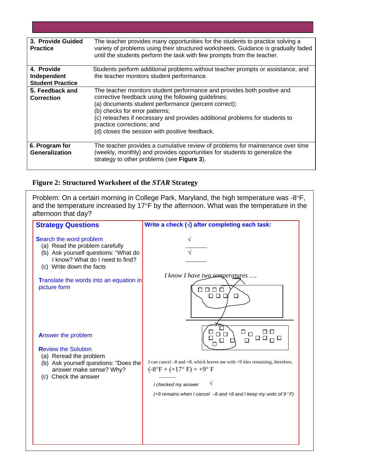| 3. Provide Guided<br><b>Practice</b>                 | The teacher provides many opportunities for the students to practice solving a<br>variety of problems using their structured worksheets. Guidance is gradually faded<br>until the students perform the task with few prompts from the teacher.                                                                                                                                         |
|------------------------------------------------------|----------------------------------------------------------------------------------------------------------------------------------------------------------------------------------------------------------------------------------------------------------------------------------------------------------------------------------------------------------------------------------------|
| 4. Provide<br>Independent<br><b>Student Practice</b> | Students perform additional problems without teacher prompts or assistance, and<br>the teacher monitors student performance.                                                                                                                                                                                                                                                           |
| 5. Feedback and<br><b>Correction</b>                 | The teacher monitors student performance and provides both positive and<br>corrective feedback using the following guidelines:<br>(a) documents student performance (percent correct);<br>(b) checks for error patterns;<br>(c) reteaches if necessary and provides additional problems for students to<br>practice corrections; and<br>(d) closes the session with positive feedback. |
| 6. Program for<br>Generalization                     | The teacher provides a cumulative review of problems for maintenance over time<br>(weekly, monthly) and provides opportunities for students to generalize the<br>strategy to other problems (see Figure 3).                                                                                                                                                                            |

#### **Figure 2: Structured Worksheet of the** *STAR* **Strategy**

Problem: On a certain morning in College Park, Maryland, the high temperature was -8°F, and the temperature increased by 17 $\textdegree$ F by the afternoon. What was the temperature in the afternoon that day?

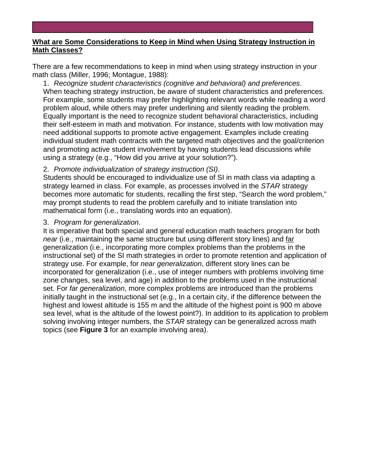# **What are Some Considerations to Keep in Mind when Using Strategy Instruction in Math Classes?**

math class (Miller, 1996; Montague, 1988): There are a few recommendations to keep in mind when using strategy instruction in your

When teaching strategy instruction, be aware of student characteristics and preferences. For example, some students may prefer highlighting relevant words while reading a word 1. *Recognize student characteristics (cognitive and behavioral) and preferences*. problem aloud, while others may prefer underlining and silently reading the problem. Equally important is the need to recognize student behavioral characteristics, including their self-esteem in math and motivation. For instance, students with low motivation may need additional supports to promote active engagement. Examples include creating individual student math contracts with the targeted math objectives and the goal/criterion and promoting active student involvement by having students lead discussions while using a strategy (e.g., "How did you arrive at your solution?").

# 2. *Promote individualization of strategy instruction (SI)*.

Students should be encouraged to individualize use of SI in math class via adapting a strategy learned in class. For example, as processes involved in the *STAR* strategy becomes more automatic for students, recalling the first step, "Search the word problem," may prompt students to read the problem carefully and to initiate translation into mathematical form (i.e., translating words into an equation).

# 3. *Program for generalization*.

*near* (i.e., maintaining the same structure but using different story lines) and far It is imperative that both special and general education math teachers program for both instructional set) of the SI math strategies in order to promote retention and application of generalization (i.e., incorporating more complex problems than the problems in the strategy use. For example, for *near generalization*, different story lines can be incorporated for generalization (i.e., use of integer numbers with problems involving time zone changes, sea level, and age) in addition to the problems used in the instructional set. For *far generalization*, more complex problems are introduced than the problems initially taught in the instructional set (e.g., In a certain city, if the difference between the highest and lowest altitude is 155 m and the altitude of the highest point is 900 m above sea level, what is the altitude of the lowest point?). In addition to its application to problem solving involving integer numbers, the *STAR* strategy can be generalized across math topics (see **Figure 3** for an example involving area).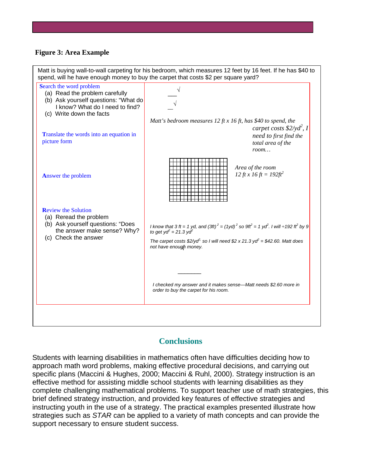### **Figure 3: Area Example**



# **Conclusions**

Students with learning disabilities in mathematics often have difficulties deciding how to approach math word problems, making effective procedural decisions, and carrying out specific plans (Maccini & Hughes, 2000; Maccini & Ruhl, 2000). Strategy instruction is an effective method for assisting middle school students with learning disabilities as they complete challenging mathematical problems. To support teacher use of math strategies, this brief defined strategy instruction, and provided key features of effective strategies and instructing youth in the use of a strategy. The practical examples presented illustrate how strategies such as *STAR* can be applied to a variety of math concepts and can provide the support necessary to ensure student success.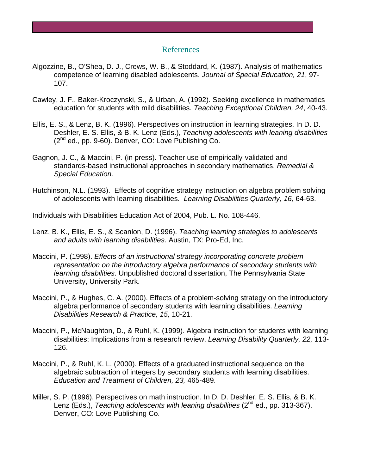### References

- Algozzine, B., O'Shea, D. J., Crews, W. B., & Stoddard, K. (1987). Analysis of mathematics competence of learning disabled adolescents. *Journal of Special Education, 21*, 97- 107.
- Cawley, J. F., Baker-Kroczynski, S., & Urban, A. (1992). Seeking excellence in mathematics education for students with mild disabilities. *Teaching Exceptional Children, 24*, 40-43.
- Ellis, E. S., & Lenz, B. K. (1996). Perspectives on instruction in learning strategies. In D. D. Deshler, E. S. Ellis, & B. K. Lenz (Eds.), *Teaching adolescents with leaning disabilities*  (2nd ed., pp. 9-60). Denver, CO: Love Publishing Co.
- Gagnon, J. C., & Maccini, P. (in press). Teacher use of empirically-validated and standards-based instructional approaches in secondary mathematics. *Remedial & Special Education.*
- Hutchinson, N.L. (1993). Effects of cognitive strategy instruction on algebra problem solving of adolescents with learning disabilities. *Learning Disabilities Quarterly*, *16*, 64-63.

Individuals with Disabilities Education Act of 2004, Pub. L. No. 108-446.

- Lenz, B. K., Ellis, E. S., & Scanlon, D. (1996). *Teaching learning strategies to adolescents and adults with learning disabilities*. Austin, TX: Pro-Ed, Inc.
- Maccini, P. (1998). *Effects of an instructional strategy incorporating concrete problem representation on the introductory algebra performance of secondary students with learning disabilities*. Unpublished doctoral dissertation, The Pennsylvania State University, University Park.
- Maccini, P., & Hughes, C. A. (2000). Effects of a problem-solving strategy on the introductory algebra performance of secondary students with learning disabilities. *Learning Disabilities Research & Practice, 15,* 10-21.
- Maccini, P., McNaughton, D., & Ruhl, K. (1999). Algebra instruction for students with learning disabilities: Implications from a research review. *Learning Disability Quarterly, 22,* 113- 126.
- Maccini, P., & Ruhl, K. L. (2000). Effects of a graduated instructional sequence on the algebraic subtraction of integers by secondary students with learning disabilities. *Education and Treatment of Children, 23,* 465-489.
- Miller, S. P. (1996). Perspectives on math instruction. In D. D. Deshler, E. S. Ellis, & B. K. Lenz (Eds.), *Teaching adolescents with leaning disabilities* (2<sup>nd</sup> ed., pp. 313-367). Denver, CO: Love Publishing Co.